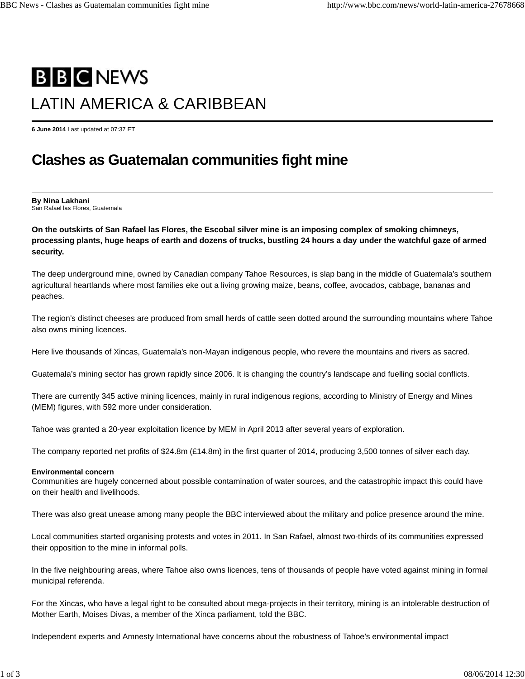# **B B C NEWS** LATIN AMERICA & CARIBBEAN

**6 June 2014** Last updated at 07:37 ET

## **Clashes as Guatemalan communities fight mine**

**By Nina Lakhani** San Rafael las Flores, Guatemala

**On the outskirts of San Rafael las Flores, the Escobal silver mine is an imposing complex of smoking chimneys, processing plants, huge heaps of earth and dozens of trucks, bustling 24 hours a day under the watchful gaze of armed security.**

The deep underground mine, owned by Canadian company Tahoe Resources, is slap bang in the middle of Guatemala's southern agricultural heartlands where most families eke out a living growing maize, beans, coffee, avocados, cabbage, bananas and peaches.

The region's distinct cheeses are produced from small herds of cattle seen dotted around the surrounding mountains where Tahoe also owns mining licences.

Here live thousands of Xincas, Guatemala's non-Mayan indigenous people, who revere the mountains and rivers as sacred.

Guatemala's mining sector has grown rapidly since 2006. It is changing the country's landscape and fuelling social conflicts.

There are currently 345 active mining licences, mainly in rural indigenous regions, according to Ministry of Energy and Mines (MEM) figures, with 592 more under consideration.

Tahoe was granted a 20-year exploitation licence by MEM in April 2013 after several years of exploration.

The company reported net profits of \$24.8m (£14.8m) in the first quarter of 2014, producing 3,500 tonnes of silver each day.

#### **Environmental concern**

Communities are hugely concerned about possible contamination of water sources, and the catastrophic impact this could have on their health and livelihoods.

There was also great unease among many people the BBC interviewed about the military and police presence around the mine.

Local communities started organising protests and votes in 2011. In San Rafael, almost two-thirds of its communities expressed their opposition to the mine in informal polls.

In the five neighbouring areas, where Tahoe also owns licences, tens of thousands of people have voted against mining in formal municipal referenda.

For the Xincas, who have a legal right to be consulted about mega-projects in their territory, mining is an intolerable destruction of Mother Earth, Moises Divas, a member of the Xinca parliament, told the BBC.

Independent experts and Amnesty International have concerns about the robustness of Tahoe's environmental impact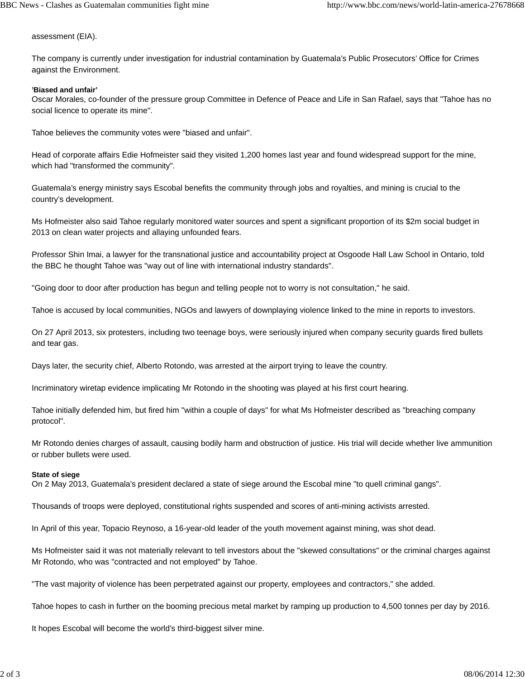assessment (EIA).

The company is currently under investigation for industrial contamination by Guatemala's Public Prosecutors' Office for Crimes against the Environment.

#### **'Biased and unfair'**

Oscar Morales, co-founder of the pressure group Committee in Defence of Peace and Life in San Rafael, says that "Tahoe has no social licence to operate its mine".

Tahoe believes the community votes were "biased and unfair".

Head of corporate affairs Edie Hofmeister said they visited 1,200 homes last year and found widespread support for the mine, which had "transformed the community".

Guatemala's energy ministry says Escobal benefits the community through jobs and royalties, and mining is crucial to the country's development.

Ms Hofmeister also said Tahoe regularly monitored water sources and spent a significant proportion of its \$2m social budget in 2013 on clean water projects and allaying unfounded fears.

Professor Shin Imai, a lawyer for the transnational justice and accountability project at Osgoode Hall Law School in Ontario, told the BBC he thought Tahoe was "way out of line with international industry standards".

"Going door to door after production has begun and telling people not to worry is not consultation," he said.

Tahoe is accused by local communities, NGOs and lawyers of downplaying violence linked to the mine in reports to investors.

On 27 April 2013, six protesters, including two teenage boys, were seriously injured when company security guards fired bullets and tear gas.

Days later, the security chief, Alberto Rotondo, was arrested at the airport trying to leave the country.

Incriminatory wiretap evidence implicating Mr Rotondo in the shooting was played at his first court hearing.

Tahoe initially defended him, but fired him "within a couple of days" for what Ms Hofmeister described as "breaching company protocol".

Mr Rotondo denies charges of assault, causing bodily harm and obstruction of justice. His trial will decide whether live ammunition or rubber bullets were used.

#### **State of siege**

On 2 May 2013, Guatemala's president declared a state of siege around the Escobal mine "to quell criminal gangs".

Thousands of troops were deployed, constitutional rights suspended and scores of anti-mining activists arrested.

In April of this year, Topacio Reynoso, a 16-year-old leader of the youth movement against mining, was shot dead.

Ms Hofmeister said it was not materially relevant to tell investors about the "skewed consultations" or the criminal charges against Mr Rotondo, who was "contracted and not employed" by Tahoe.

"The vast majority of violence has been perpetrated against our property, employees and contractors," she added.

Tahoe hopes to cash in further on the booming precious metal market by ramping up production to 4,500 tonnes per day by 2016.

It hopes Escobal will become the world's third-biggest silver mine.